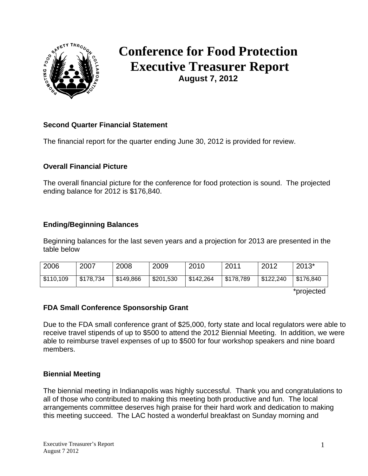

# **Conference for Food Protection Executive Treasurer Report August 7, 2012**

## **Second Quarter Financial Statement**

The financial report for the quarter ending June 30, 2012 is provided for review.

## **Overall Financial Picture**

The overall financial picture for the conference for food protection is sound. The projected ending balance for 2012 is \$176,840.

## **Ending/Beginning Balances**

Beginning balances for the last seven years and a projection for 2013 are presented in the table below

| 2006      | 2007      | 2008      | 2009      | 2010      | 2011      | 2012      | 2013*     |
|-----------|-----------|-----------|-----------|-----------|-----------|-----------|-----------|
| \$110,109 | \$178,734 | \$149,866 | \$201,530 | \$142,264 | \$178,789 | \$122,240 | \$176,840 |

\*projected

#### **FDA Small Conference Sponsorship Grant**

Due to the FDA small conference grant of \$25,000, forty state and local regulators were able to receive travel stipends of up to \$500 to attend the 2012 Biennial Meeting. In addition, we were able to reimburse travel expenses of up to \$500 for four workshop speakers and nine board members.

## **Biennial Meeting**

The biennial meeting in Indianapolis was highly successful. Thank you and congratulations to all of those who contributed to making this meeting both productive and fun. The local arrangements committee deserves high praise for their hard work and dedication to making this meeting succeed. The LAC hosted a wonderful breakfast on Sunday morning and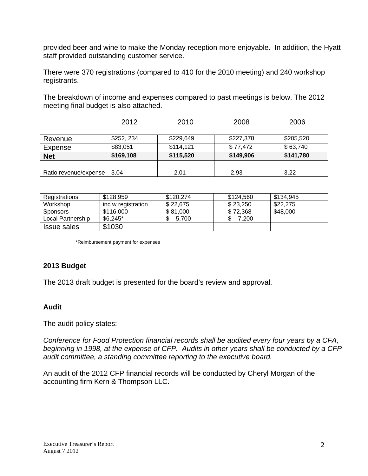provided beer and wine to make the Monday reception more enjoyable. In addition, the Hyatt staff provided outstanding customer service.

There were 370 registrations (compared to 410 for the 2010 meeting) and 240 workshop registrants.

The breakdown of income and expenses compared to past meetings is below. The 2012 meeting final budget is also attached.

|                       | 2012       | 2010      | 2008      | 2006      |
|-----------------------|------------|-----------|-----------|-----------|
| Revenue               | \$252, 234 | \$229,649 | \$227,378 | \$205,520 |
| Expense               | \$83,051   | \$114,121 | \$77,472  | \$63,740  |
| <b>Net</b>            | \$169,108  | \$115,520 | \$149,906 | \$141,780 |
|                       |            |           |           |           |
| Ratio revenue/expense | 3.04       | 2.01      | 2.93      | 3.22      |

| Registrations      | \$128,959          | \$120,274 | \$124,560 | \$134,945 |
|--------------------|--------------------|-----------|-----------|-----------|
| Workshop           | inc w registration | \$22,675  | \$23,250  | \$22,275  |
| <b>Sponsors</b>    | \$116,000          | \$81,000  | \$72,368  | \$48,000  |
| Local Partnership  | $$6,245^*$         | 5.700     | 7,200     |           |
| <b>Issue sales</b> | \$1030             |           |           |           |

\*Reimbursement payment for expenses

## **2013 Budget**

The 2013 draft budget is presented for the board's review and approval.

#### **Audit**

The audit policy states:

*Conference for Food Protection financial records shall be audited every four years by a CFA, beginning in 1998, at the expense of CFP. Audits in other years shall be conducted by a CFP audit committee, a standing committee reporting to the executive board.* 

An audit of the 2012 CFP financial records will be conducted by Cheryl Morgan of the accounting firm Kern & Thompson LLC.